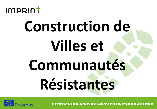

## **Construction de Villes et Communautés Résistantes**

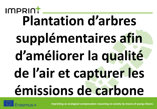#### **IMPRINT Plantation d'arbres supplémentaires afin d'améliorer la qualité de l'air et capturer les émissions de carbone**

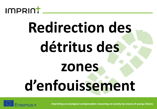

## **Redirection des détritus des zones d'enfouissement**

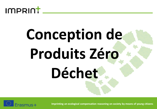

# **Conception de Produits Zéro Déchet**

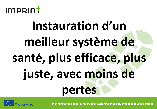

#### **Instauration d'un meilleur système de santé, plus efficace, plus juste, avec moins de pertes**

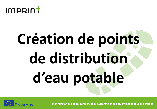

# **Création de points de distribution d'eau potable**

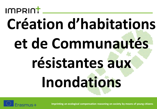#### IMPRINT

## **Création d'habitations et de Communautés résistantes aux Inondations**

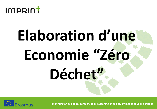

# **Elaboration d'une Economie "Zéro Déchet"**

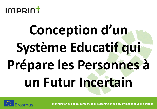

#### **Conception d'un Système Educatif qui Prépare les Personnes à un Futur Incertain**

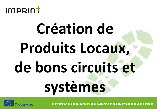

## **Création de Produits Locaux, de bons circuits et systèmes**

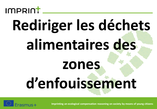

## **Rediriger les déchets alimentaires des zones d'enfouissement**

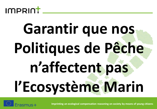

## **Garantir que nos Politiques de Pêche n'affectent pas l'Ecosystème Marin**

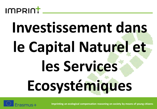

## **Investissement dans le Capital Naturel et les Services Ecosystémiques**

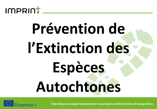

## **Prévention de l'Extinction des Espèces Autochtones**

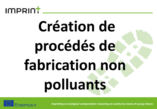

## **Création de procédés de fabrication non polluants**

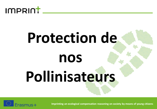

## **Protection de nos Pollinisateurs**

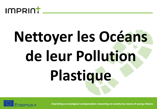

# **Nettoyer les Océans de leur Pollution Plastique**

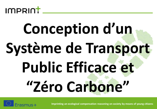

## **Conception d'un Système de Transport Public Efficace et "Zéro Carbone"**

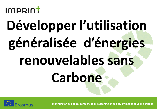#### IMPRINT

#### **Développer l'utilisation généralisée d'énergies renouvelables sans Carbone**

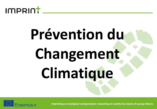

# **Prévention du Changement Climatique**